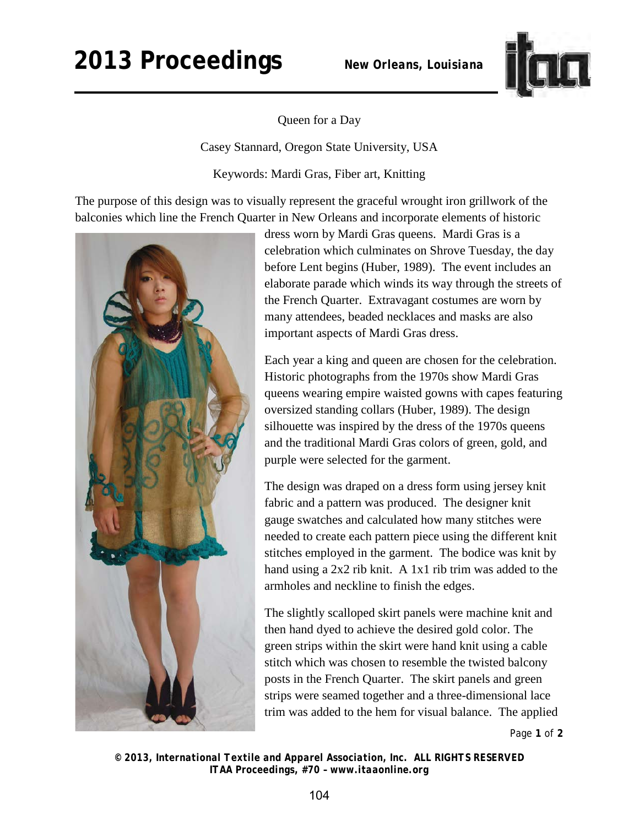## **2013 Proceedings** *New Orleans, Louisiana*



Queen for a Day

Casey Stannard, Oregon State University, USA

Keywords: Mardi Gras, Fiber art, Knitting

The purpose of this design was to visually represent the graceful wrought iron grillwork of the balconies which line the French Quarter in New Orleans and incorporate elements of historic



dress worn by Mardi Gras queens. Mardi Gras is a celebration which culminates on Shrove Tuesday, the day before Lent begins (Huber, 1989). The event includes an elaborate parade which winds its way through the streets of the French Quarter. Extravagant costumes are worn by many attendees, beaded necklaces and masks are also important aspects of Mardi Gras dress.

Each year a king and queen are chosen for the celebration. Historic photographs from the 1970s show Mardi Gras queens wearing empire waisted gowns with capes featuring oversized standing collars (Huber, 1989). The design silhouette was inspired by the dress of the 1970s queens and the traditional Mardi Gras colors of green, gold, and purple were selected for the garment.

The design was draped on a dress form using jersey knit fabric and a pattern was produced. The designer knit gauge swatches and calculated how many stitches were needed to create each pattern piece using the different knit stitches employed in the garment. The bodice was knit by hand using a 2x2 rib knit. A 1x1 rib trim was added to the armholes and neckline to finish the edges.

The slightly scalloped skirt panels were machine knit and then hand dyed to achieve the desired gold color. The green strips within the skirt were hand knit using a cable stitch which was chosen to resemble the twisted balcony posts in the French Quarter. The skirt panels and green strips were seamed together and a three-dimensional lace trim was added to the hem for visual balance. The applied

Page **1** of **2** 

*© 2013, International Textile and Apparel Association, Inc. ALL RIGHTS RESERVED ITAA Proceedings, #70 – www.itaaonline.org*